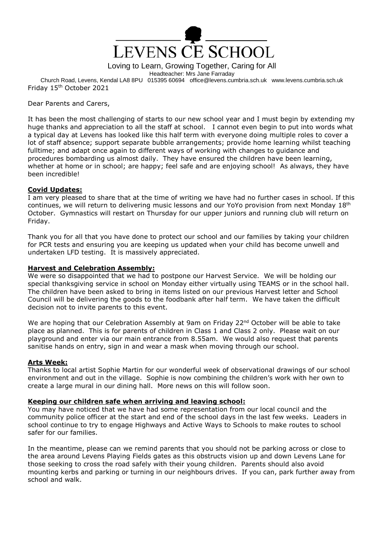

Loving to Learn, Growing Together, Caring for All

Headteacher: Mrs Jane Farraday

Church Road, Levens, Kendal LA8 8PU 015395 60694 office@levens.cumbria.sch.uk www.levens.cumbria.sch.uk Friday 15th October 2021

# Dear Parents and Carers,

It has been the most challenging of starts to our new school year and I must begin by extending my huge thanks and appreciation to all the staff at school. I cannot even begin to put into words what a typical day at Levens has looked like this half term with everyone doing multiple roles to cover a lot of staff absence; support separate bubble arrangements; provide home learning whilst teaching fulltime; and adapt once again to different ways of working with changes to guidance and procedures bombarding us almost daily. They have ensured the children have been learning, whether at home or in school; are happy; feel safe and are enjoying school! As always, they have been incredible!

# **Covid Updates:**

I am very pleased to share that at the time of writing we have had no further cases in school. If this continues, we will return to delivering music lessons and our YoYo provision from next Monday 18<sup>th</sup> October. Gymnastics will restart on Thursday for our upper juniors and running club will return on Friday.

Thank you for all that you have done to protect our school and our families by taking your children for PCR tests and ensuring you are keeping us updated when your child has become unwell and undertaken LFD testing. It is massively appreciated.

# **Harvest and Celebration Assembly:**

We were so disappointed that we had to postpone our Harvest Service. We will be holding our special thanksgiving service in school on Monday either virtually using TEAMS or in the school hall. The children have been asked to bring in items listed on our previous Harvest letter and School Council will be delivering the goods to the foodbank after half term. We have taken the difficult decision not to invite parents to this event.

We are hoping that our Celebration Assembly at 9am on Friday 22<sup>nd</sup> October will be able to take place as planned. This is for parents of children in Class 1 and Class 2 only. Please wait on our playground and enter via our main entrance from 8.55am. We would also request that parents sanitise hands on entry, sign in and wear a mask when moving through our school.

# **Arts Week:**

Thanks to local artist Sophie Martin for our wonderful week of observational drawings of our school environment and out in the village. Sophie is now combining the children's work with her own to create a large mural in our dining hall. More news on this will follow soon.

### **Keeping our children safe when arriving and leaving school:**

You may have noticed that we have had some representation from our local council and the community police officer at the start and end of the school days in the last few weeks. Leaders in school continue to try to engage Highways and Active Ways to Schools to make routes to school safer for our families.

In the meantime, please can we remind parents that you should not be parking across or close to the area around Levens Playing Fields gates as this obstructs vision up and down Levens Lane for those seeking to cross the road safely with their young children. Parents should also avoid mounting kerbs and parking or turning in our neighbours drives. If you can, park further away from school and walk.